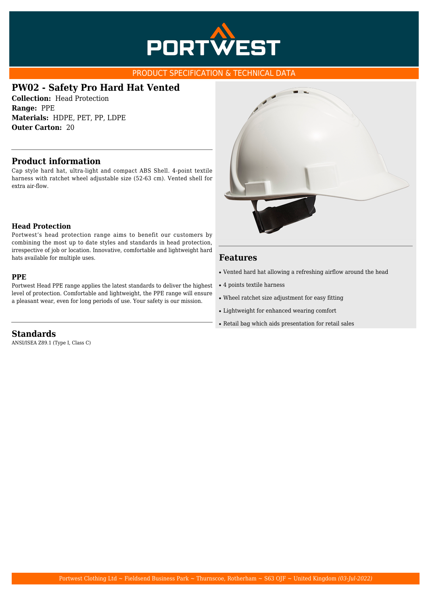

#### PRODUCT SPECIFICATION & TECHNICAL DATA

## **PW02 - Safety Pro Hard Hat Vented**

**Collection:** Head Protection **Range:** PPE **Materials:** HDPE, PET, PP, LDPE **Outer Carton:** 20

### **Product information**

Cap style hard hat, ultra-light and compact ABS Shell. 4-point textile harness with ratchet wheel adjustable size (52-63 cm). Vented shell for extra air-flow.

#### **Head Protection**

Portwest's head protection range aims to benefit our customers by combining the most up to date styles and standards in head protection, irrespective of job or location. Innovative, comfortable and lightweight hard hats available for multiple uses.

#### **PPE**

Portwest Head PPE range applies the latest standards to deliver the highest level of protection. Comfortable and lightweight, the PPE range will ensure a pleasant wear, even for long periods of use. Your safety is our mission.



## **Features**

- Vented hard hat allowing a refreshing airflow around the head
- 4 points textile harness
- Wheel ratchet size adjustment for easy fitting
- Lightweight for enhanced wearing comfort
- Retail bag which aids presentation for retail sales

**Standards**

ANSI/ISEA Z89.1 (Type I, Class C)